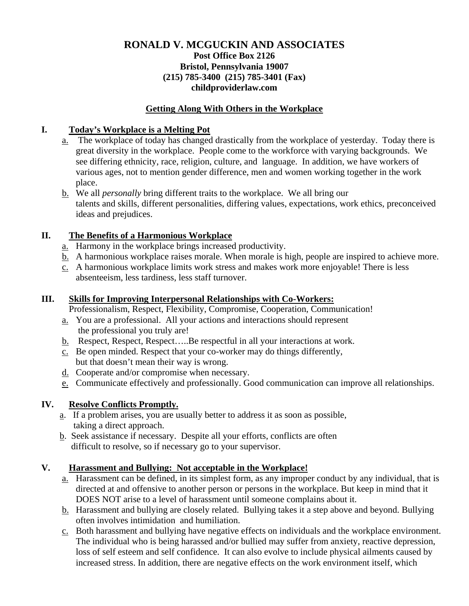### **RONALD V. MCGUCKIN AND ASSOCIATES Post Office Box 2126 Bristol, Pennsylvania 19007 (215) 785-3400 (215) 785-3401 (Fax) childproviderlaw.com**

### **Getting Along With Others in the Workplace**

### **I. Today's Workplace is a Melting Pot**

- a. The workplace of today has changed drastically from the workplace of yesterday. Today there is great diversity in the workplace. People come to the workforce with varying backgrounds. We see differing ethnicity, race, religion, culture, and language. In addition, we have workers of various ages, not to mention gender difference, men and women working together in the work place.
- b. We all *personally* bring different traits to the workplace. We all bring our talents and skills, different personalities, differing values, expectations, work ethics, preconceived ideas and prejudices.

# **II. The Benefits of a Harmonious Workplace**

- a. Harmony in the workplace brings increased productivity.
- b. A harmonious workplace raises morale. When morale is high, people are inspired to achieve more.
- c. A harmonious workplace limits work stress and makes work more enjoyable! There is less absenteeism, less tardiness, less staff turnover.

### **III. Skills for Improving Interpersonal Relationships with Co-Workers:**

Professionalism, Respect, Flexibility, Compromise, Cooperation, Communication!

- a. You are a professional. All your actions and interactions should represent the professional you truly are!
- b. Respect, Respect, Respect…..Be respectful in all your interactions at work.
- c. Be open minded. Respect that your co-worker may do things differently, but that doesn't mean their way is wrong.
- d. Cooperate and/or compromise when necessary.
- e. Communicate effectively and professionally. Good communication can improve all relationships.

### **IV. Resolve Conflicts Promptly.**

- a. If a problem arises, you are usually better to address it as soon as possible, taking a direct approach.
- b. Seek assistance if necessary. Despite all your efforts, conflicts are often difficult to resolve, so if necessary go to your supervisor.

# **V. Harassment and Bullying: Not acceptable in the Workplace!**

- a. Harassment can be defined, in its simplest form, as any improper conduct by any individual, that is directed at and offensive to another person or persons in the workplace. But keep in mind that it DOES NOT arise to a level of harassment until someone complains about it.
- b. Harassment and bullying are closely related. Bullying takes it a step above and beyond. Bullying often involves intimidation and humiliation.
- c. Both harassment and bullying have negative effects on individuals and the workplace environment. The individual who is being harassed and/or bullied may suffer from anxiety, reactive depression, loss of self esteem and self confidence. It can also evolve to include physical ailments caused by increased stress. In addition, there are negative effects on the work environment itself, which